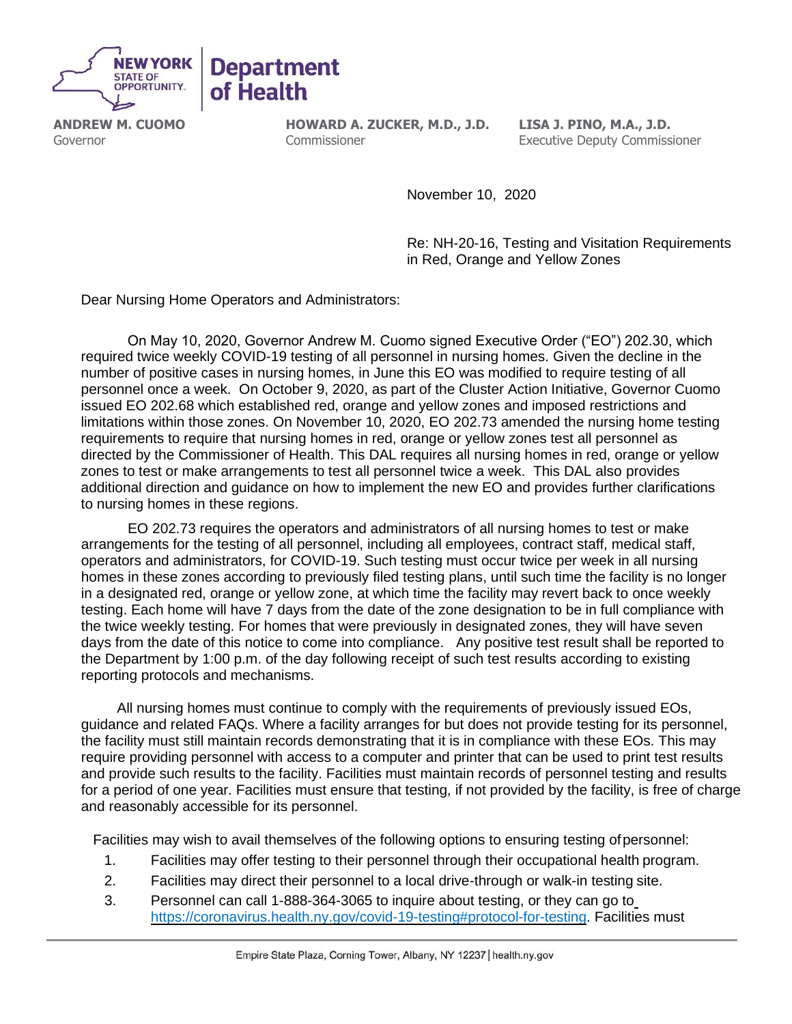

**ANDREW M. CUOMO** Governor

**HOWARD A. ZUCKER, M.D., J.D.** Commissioner

**LISA J. PINO, M.A., J.D.** Executive Deputy Commissioner

November 10, 2020

Re: NH-20-16, Testing and Visitation Requirements in Red, Orange and Yellow Zones

Dear Nursing Home Operators and Administrators:

On May 10, 2020, Governor Andrew M. Cuomo signed Executive Order ("EO") 202.30, which required twice weekly COVID-19 testing of all personnel in nursing homes. Given the decline in the number of positive cases in nursing homes, in June this EO was modified to require testing of all personnel once a week. On October 9, 2020, as part of the Cluster Action Initiative, Governor Cuomo issued EO 202.68 which established red, orange and yellow zones and imposed restrictions and limitations within those zones. On November 10, 2020, EO 202.73 amended the nursing home testing requirements to require that nursing homes in red, orange or yellow zones test all personnel as directed by the Commissioner of Health. This DAL requires all nursing homes in red, orange or yellow zones to test or make arrangements to test all personnel twice a week. This DAL also provides additional direction and guidance on how to implement the new EO and provides further clarifications to nursing homes in these regions.

EO 202.73 requires the operators and administrators of all nursing homes to test or make arrangements for the testing of all personnel, including all employees, contract staff, medical staff, operators and administrators, for COVID-19. Such testing must occur twice per week in all nursing homes in these zones according to previously filed testing plans, until such time the facility is no longer in a designated red, orange or yellow zone, at which time the facility may revert back to once weekly testing. Each home will have 7 days from the date of the zone designation to be in full compliance with the twice weekly testing. For homes that were previously in designated zones, they will have seven days from the date of this notice to come into compliance. Any positive test result shall be reported to the Department by 1:00 p.m. of the day following receipt of such test results according to existing reporting protocols and mechanisms.

 All nursing homes must continue to comply with the requirements of previously issued EOs, guidance and related FAQs. Where a facility arranges for but does not provide testing for its personnel, the facility must still maintain records demonstrating that it is in compliance with these EOs. This may require providing personnel with access to a computer and printer that can be used to print test results and provide such results to the facility. Facilities must maintain records of personnel testing and results for a period of one year. Facilities must ensure that testing, if not provided by the facility, is free of charge and reasonably accessible for its personnel.

Facilities may wish to avail themselves of the following options to ensuring testing ofpersonnel:

- 1. Facilities may offer testing to their personnel through their occupational health program.
- 2. Facilities may direct their personnel to a local drive-through or walk-in testing site.
- 3. Personnel can call 1-888-364-3065 to inquire about testing, or they can go to [https://coronavirus.health.ny.gov/covid-19-testing#protocol-for-testing.](https://coronavirus.health.ny.gov/covid-19-testing#protocol-for-testing) Facilities must